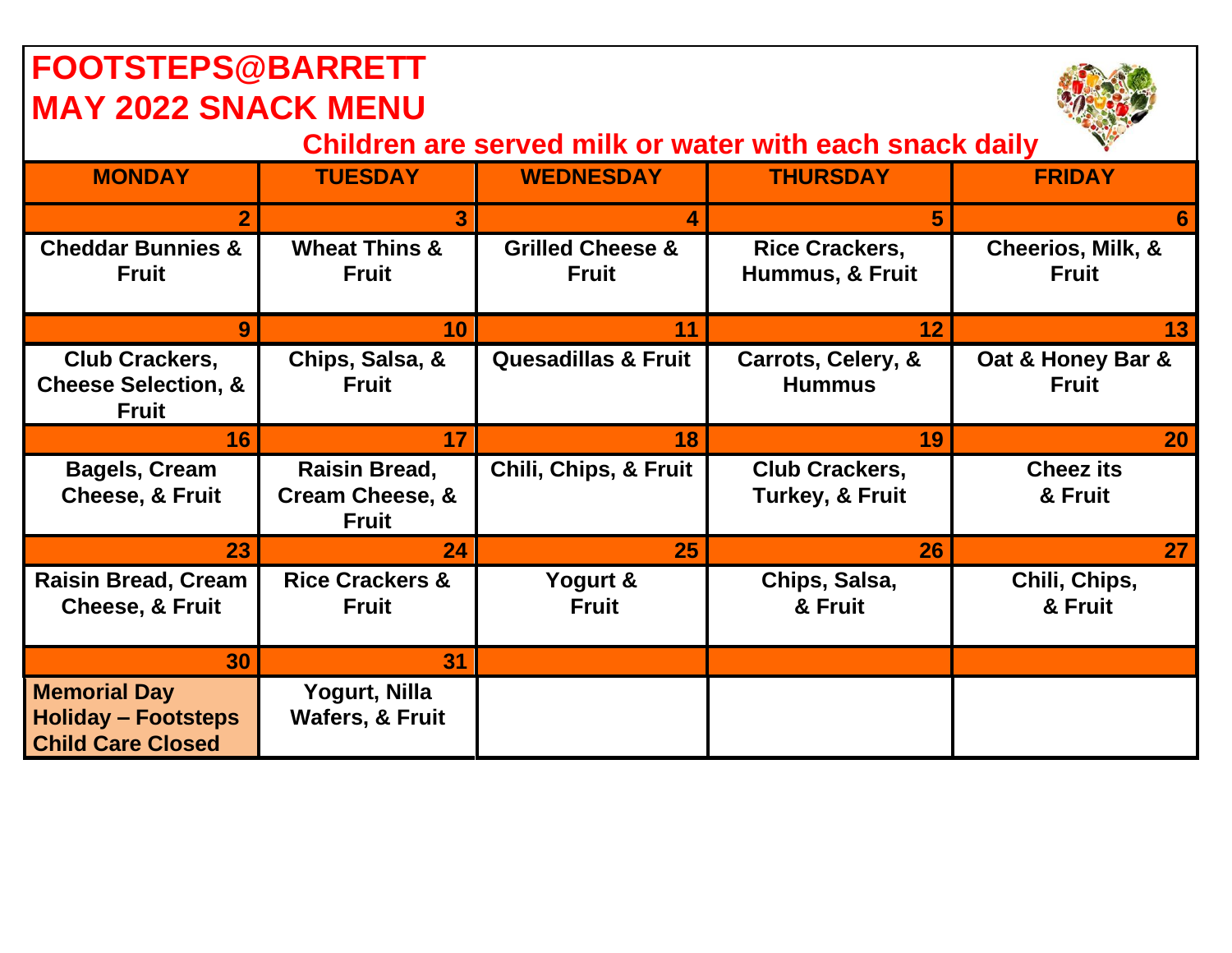| <b>FOOTSTEPS@BARRETT</b>                                                      |                                                                    |                                             |                                                     |                                              |  |  |  |
|-------------------------------------------------------------------------------|--------------------------------------------------------------------|---------------------------------------------|-----------------------------------------------------|----------------------------------------------|--|--|--|
| <b>MAY 2022 SNACK MENU</b>                                                    |                                                                    |                                             |                                                     |                                              |  |  |  |
| Children are served milk or water with each snack daily                       |                                                                    |                                             |                                                     |                                              |  |  |  |
| <b>MONDAY</b>                                                                 | <b>TUESDAY</b>                                                     | <b>WEDNESDAY</b>                            | <b>THURSDAY</b>                                     | <b>FRIDAY</b>                                |  |  |  |
| $\overline{2}$                                                                | 3                                                                  | Δ                                           | 5                                                   | 6                                            |  |  |  |
| <b>Cheddar Bunnies &amp;</b><br><b>Fruit</b>                                  | <b>Wheat Thins &amp;</b><br><b>Fruit</b>                           | <b>Grilled Cheese &amp;</b><br><b>Fruit</b> | <b>Rice Crackers,</b><br>Hummus, & Fruit            | <b>Cheerios, Milk, &amp;</b><br><b>Fruit</b> |  |  |  |
| 9                                                                             | 10                                                                 | 11                                          | 12                                                  | 13 <sup>1</sup>                              |  |  |  |
| Club Crackers,<br><b>Cheese Selection, &amp;</b><br><b>Fruit</b>              | Chips, Salsa, &<br><b>Fruit</b>                                    | <b>Quesadillas &amp; Fruit</b>              | Carrots, Celery, &<br><b>Hummus</b>                 | Oat & Honey Bar &<br><b>Fruit</b>            |  |  |  |
| 16                                                                            | 17                                                                 | 18                                          | 19                                                  | 20                                           |  |  |  |
| <b>Bagels, Cream</b><br><b>Cheese, &amp; Fruit</b>                            | <b>Raisin Bread,</b><br><b>Cream Cheese, &amp;</b><br><b>Fruit</b> | Chili, Chips, & Fruit                       | <b>Club Crackers,</b><br><b>Turkey, &amp; Fruit</b> | <b>Cheez its</b><br>& Fruit                  |  |  |  |
| 23                                                                            | 24                                                                 | 25                                          | 26                                                  | 27 <sup>1</sup>                              |  |  |  |
| <b>Raisin Bread, Cream</b><br><b>Cheese, &amp; Fruit</b>                      | <b>Rice Crackers &amp;</b><br><b>Fruit</b>                         | Yogurt &<br><b>Fruit</b>                    | Chips, Salsa,<br>& Fruit                            | Chili, Chips,<br>& Fruit                     |  |  |  |
| 30                                                                            | 31                                                                 |                                             |                                                     |                                              |  |  |  |
| <b>Memorial Day</b><br><b>Holiday - Footsteps</b><br><b>Child Care Closed</b> | Yogurt, Nilla<br><b>Wafers, &amp; Fruit</b>                        |                                             |                                                     |                                              |  |  |  |